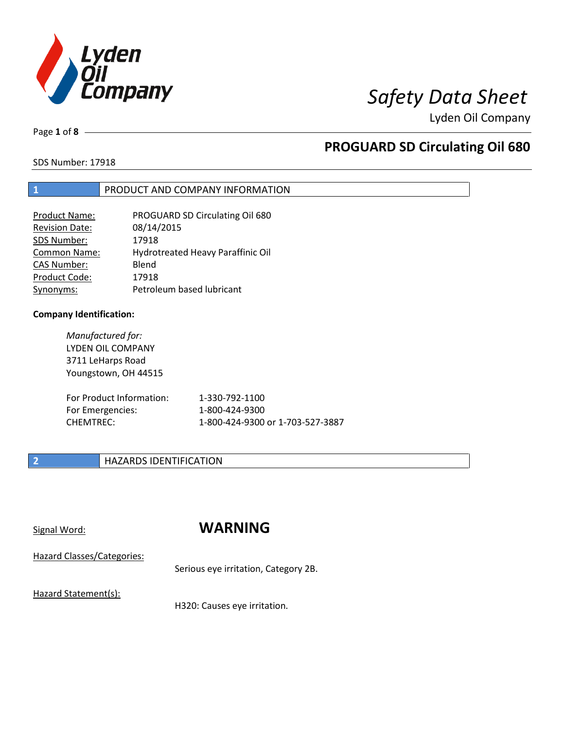

Page **1** of **8**

# **PROGUARD SD Circulating Oil 680**

SDS Number: 17918

### **1** PRODUCT AND COMPANY INFORMATION

| Product Name:         | PROGUARD SD Circulating Oil 680   |
|-----------------------|-----------------------------------|
| <b>Revision Date:</b> | 08/14/2015                        |
| SDS Number:           | 17918                             |
| <b>Common Name:</b>   | Hydrotreated Heavy Paraffinic Oil |
| <b>CAS Number:</b>    | Blend                             |
| Product Code:         | 17918                             |
| Synonyms:             | Petroleum based lubricant         |

### **Company Identification:**

*Manufactured for:* LYDEN OIL COMPANY 3711 LeHarps Road Youngstown, OH 44515

| For Product Information: | 1-330-792-1100                   |
|--------------------------|----------------------------------|
| For Emergencies:         | 1-800-424-9300                   |
| CHEMTREC:                | 1-800-424-9300 or 1-703-527-3887 |

## **2 HAZARDS IDENTIFICATION**

## Signal Word: **WARNING**

Hazard Classes/Categories:

Serious eye irritation, Category 2B.

Hazard Statement(s):

H320: Causes eye irritation.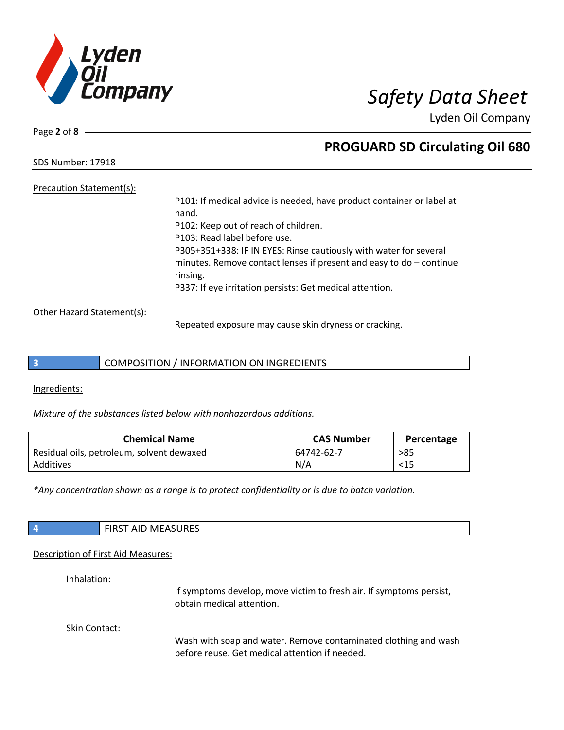

Page **2** of **8**

## **PROGUARD SD Circulating Oil 680**

SDS Number: 17918

## Precaution Statement(s):

P101: If medical advice is needed, have product container or label at hand. P102: Keep out of reach of children. P103: Read label before use. P305+351+338: IF IN EYES: Rinse cautiously with water for several minutes. Remove contact lenses if present and easy to do – continue rinsing. P337: If eye irritation persists: Get medical attention.

### Other Hazard Statement(s):

Repeated exposure may cause skin dryness or cracking.

## **3** COMPOSITION / INFORMATION ON INGREDIENTS

Ingredients:

*Mixture of the substances listed below with nonhazardous additions.*

| <b>Chemical Name</b>                      | <b>CAS Number</b> | Percentage |
|-------------------------------------------|-------------------|------------|
| Residual oils, petroleum, solvent dewaxed | 64742-62-7        | >85        |
| Additives                                 | N/A               | $<$ 15     |

*\*Any concentration shown as a range is to protect confidentiality or is due to batch variation.*

| $\vert$ 4 | <b>FIRST AID MEASURES</b> |
|-----------|---------------------------|
|           |                           |

### Description of First Aid Measures:

Inhalation:

If symptoms develop, move victim to fresh air. If symptoms persist, obtain medical attention.

Skin Contact:

Wash with soap and water. Remove contaminated clothing and wash before reuse. Get medical attention if needed.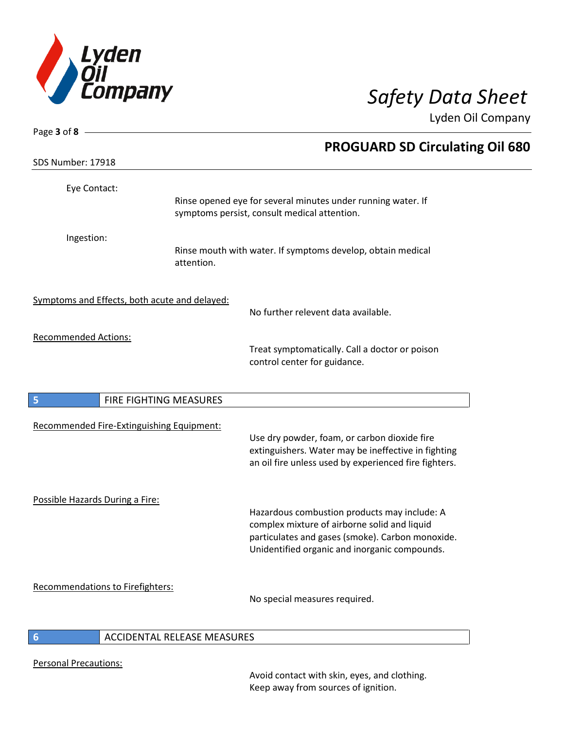

| Page $3$ of $8$ —               |                                               |                                                                                                                                                                                                   |
|---------------------------------|-----------------------------------------------|---------------------------------------------------------------------------------------------------------------------------------------------------------------------------------------------------|
|                                 |                                               | <b>PROGUARD SD Circulating Oil 680</b>                                                                                                                                                            |
| SDS Number: 17918               |                                               |                                                                                                                                                                                                   |
| Eye Contact:                    |                                               | Rinse opened eye for several minutes under running water. If<br>symptoms persist, consult medical attention.                                                                                      |
| Ingestion:                      | attention.                                    | Rinse mouth with water. If symptoms develop, obtain medical                                                                                                                                       |
|                                 | Symptoms and Effects, both acute and delayed: | No further relevent data available.                                                                                                                                                               |
| <b>Recommended Actions:</b>     |                                               | Treat symptomatically. Call a doctor or poison<br>control center for guidance.                                                                                                                    |
| 5                               | FIRE FIGHTING MEASURES                        |                                                                                                                                                                                                   |
|                                 | Recommended Fire-Extinguishing Equipment:     | Use dry powder, foam, or carbon dioxide fire<br>extinguishers. Water may be ineffective in fighting<br>an oil fire unless used by experienced fire fighters.                                      |
| Possible Hazards During a Fire: |                                               | Hazardous combustion products may include: A<br>complex mixture of airborne solid and liquid<br>particulates and gases (smoke). Carbon monoxide.<br>Unidentified organic and inorganic compounds. |
|                                 | Recommendations to Firefighters:              | No special measures required.                                                                                                                                                                     |
| 6                               | ACCIDENTAL RELEASE MEASURES                   |                                                                                                                                                                                                   |

Personal Precautions:

Avoid contact with skin, eyes, and clothing. Keep away from sources of ignition.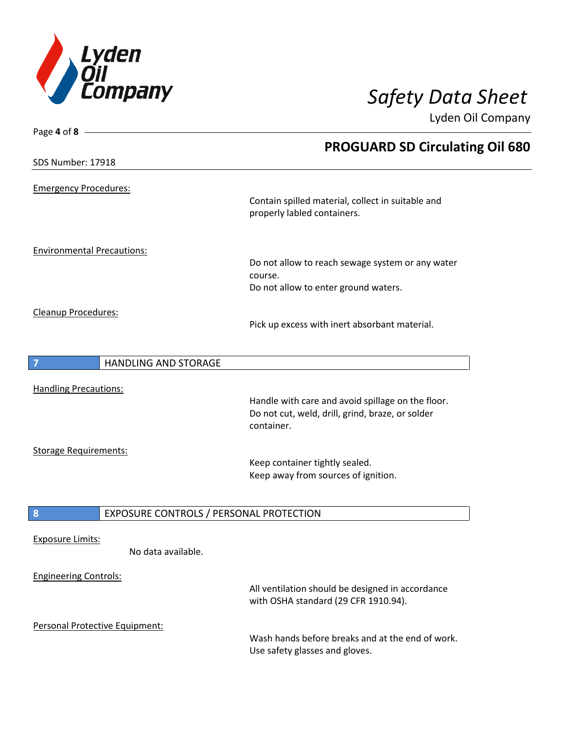

| Page 4 of $8 -$                               |                                                                                                                     |
|-----------------------------------------------|---------------------------------------------------------------------------------------------------------------------|
|                                               | <b>PROGUARD SD Circulating Oil 680</b>                                                                              |
| SDS Number: 17918                             |                                                                                                                     |
| <b>Emergency Procedures:</b>                  | Contain spilled material, collect in suitable and<br>properly labled containers.                                    |
| <b>Environmental Precautions:</b>             | Do not allow to reach sewage system or any water<br>course.<br>Do not allow to enter ground waters.                 |
| Cleanup Procedures:                           | Pick up excess with inert absorbant material.                                                                       |
| HANDLING AND STORAGE                          |                                                                                                                     |
|                                               |                                                                                                                     |
| <b>Handling Precautions:</b>                  | Handle with care and avoid spillage on the floor.<br>Do not cut, weld, drill, grind, braze, or solder<br>container. |
| <b>Storage Requirements:</b>                  |                                                                                                                     |
|                                               | Keep container tightly sealed.<br>Keep away from sources of ignition.                                               |
| EXPOSURE CONTROLS / PERSONAL PROTECTION<br>8  |                                                                                                                     |
| <b>Exposure Limits:</b><br>No data available. |                                                                                                                     |
| <b>Engineering Controls:</b>                  | All ventilation should be designed in accordance<br>with OSHA standard (29 CFR 1910.94).                            |
| Personal Protective Equipment:                |                                                                                                                     |
|                                               | Wash bands before breaks and at the end of work                                                                     |

Wash hands before breaks and at the end of work. Use safety glasses and gloves.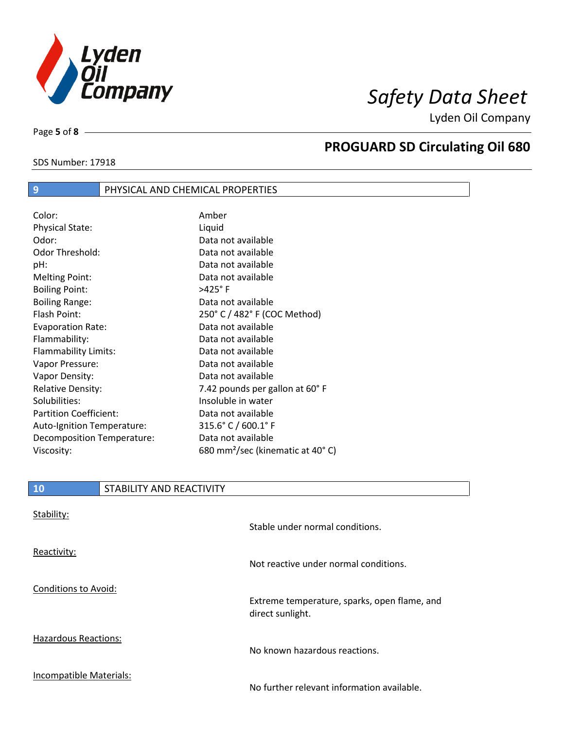

Page **5** of **8**

# **PROGUARD SD Circulating Oil 680**

### SDS Number: 17918

## **9** PHYSICAL AND CHEMICAL PROPERTIES

| Color:                        | Amber                                        |
|-------------------------------|----------------------------------------------|
| <b>Physical State:</b>        | Liquid                                       |
| Odor:                         | Data not available                           |
| Odor Threshold:               | Data not available                           |
| pH:                           | Data not available                           |
| <b>Melting Point:</b>         | Data not available                           |
| <b>Boiling Point:</b>         | $>425^\circ$ F                               |
| <b>Boiling Range:</b>         | Data not available                           |
| Flash Point:                  | 250° C / 482° F (COC Method)                 |
| <b>Evaporation Rate:</b>      | Data not available                           |
| Flammability:                 | Data not available                           |
| Flammability Limits:          | Data not available                           |
| Vapor Pressure:               | Data not available                           |
| Vapor Density:                | Data not available                           |
| <b>Relative Density:</b>      | 7.42 pounds per gallon at 60°F               |
| Solubilities:                 | Insoluble in water                           |
| <b>Partition Coefficient:</b> | Data not available                           |
| Auto-Ignition Temperature:    | 315.6° C / 600.1° F                          |
| Decomposition Temperature:    | Data not available                           |
| Viscosity:                    | 680 mm <sup>2</sup> /sec (kinematic at 40°C) |

## **10** STABILITY AND REACTIVITY

| Stability:                  | Stable under normal conditions.                                  |
|-----------------------------|------------------------------------------------------------------|
| Reactivity:                 | Not reactive under normal conditions.                            |
| Conditions to Avoid:        | Extreme temperature, sparks, open flame, and<br>direct sunlight. |
| <b>Hazardous Reactions:</b> | No known hazardous reactions.                                    |
| Incompatible Materials:     | No further relevant information available.                       |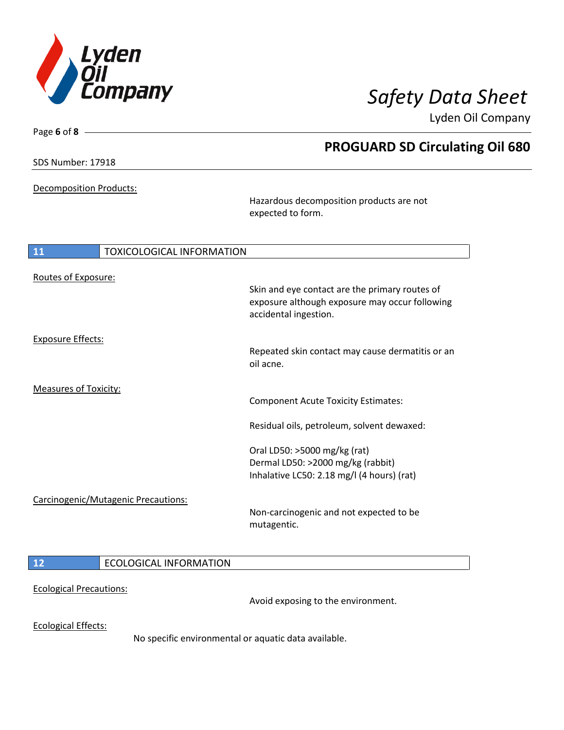

**PROGUARD SD Circulating Oil 680**

Lyden Oil Company

SDS Number: 17918

Page **6** of **8**

Decomposition Products:

Hazardous decomposition products are not expected to form.

| 11<br><b>TOXICOLOGICAL INFORMATION</b> |                                                                                                                           |
|----------------------------------------|---------------------------------------------------------------------------------------------------------------------------|
| Routes of Exposure:                    | Skin and eye contact are the primary routes of<br>exposure although exposure may occur following<br>accidental ingestion. |
| <b>Exposure Effects:</b>               | Repeated skin contact may cause dermatitis or an<br>oil acne.                                                             |
| <b>Measures of Toxicity:</b>           | <b>Component Acute Toxicity Estimates:</b>                                                                                |
|                                        | Residual oils, petroleum, solvent dewaxed:                                                                                |
| Carcinogenic/Mutagenic Precautions:    | Oral LD50: >5000 mg/kg (rat)<br>Dermal LD50: >2000 mg/kg (rabbit)<br>Inhalative LC50: 2.18 mg/l (4 hours) (rat)           |
|                                        | Non-carcinogenic and not expected to be<br>mutagentic.                                                                    |
| <b>ECOLOGICAL INFORMATION</b><br>12    |                                                                                                                           |

Ecological Precautions:

Avoid exposing to the environment.

Ecological Effects:

No specific environmental or aquatic data available.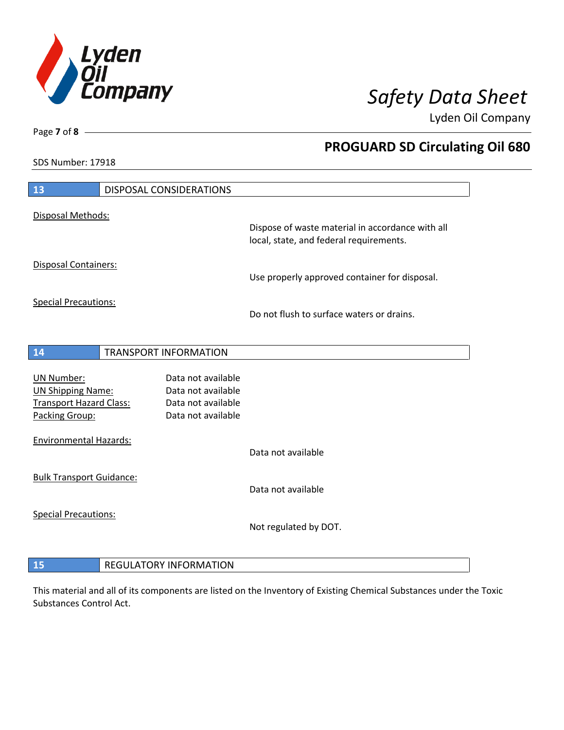

**PROGUARD SD Circulating Oil 680**

Lyden Oil Company

SDS Number: 17918

Page **7** of **8**

 $\overline{\phantom{a}}$ 

| 13                                               | DISPOSAL CONSIDERATIONS                  |                                                  |
|--------------------------------------------------|------------------------------------------|--------------------------------------------------|
| Disposal Methods:                                |                                          | Dispose of waste material in accordance with all |
|                                                  |                                          | local, state, and federal requirements.          |
| Disposal Containers:                             |                                          | Use properly approved container for disposal.    |
| <b>Special Precautions:</b>                      |                                          | Do not flush to surface waters or drains.        |
| 14                                               | <b>TRANSPORT INFORMATION</b>             |                                                  |
|                                                  |                                          |                                                  |
| <b>UN Number:</b>                                | Data not available                       |                                                  |
| <b>UN Shipping Name:</b>                         | Data not available                       |                                                  |
| <b>Transport Hazard Class:</b><br>Packing Group: | Data not available<br>Data not available |                                                  |
| <b>Environmental Hazards:</b>                    |                                          |                                                  |
|                                                  |                                          | Data not available                               |
| <b>Bulk Transport Guidance:</b>                  |                                          |                                                  |
|                                                  |                                          | Data not available                               |
| <b>Special Precautions:</b>                      |                                          |                                                  |
|                                                  |                                          | Not regulated by DOT.                            |
|                                                  |                                          |                                                  |
| 15                                               | <b>REGULATORY INFORMATION</b>            |                                                  |

This material and all of its components are listed on the Inventory of Existing Chemical Substances under the Toxic Substances Control Act.